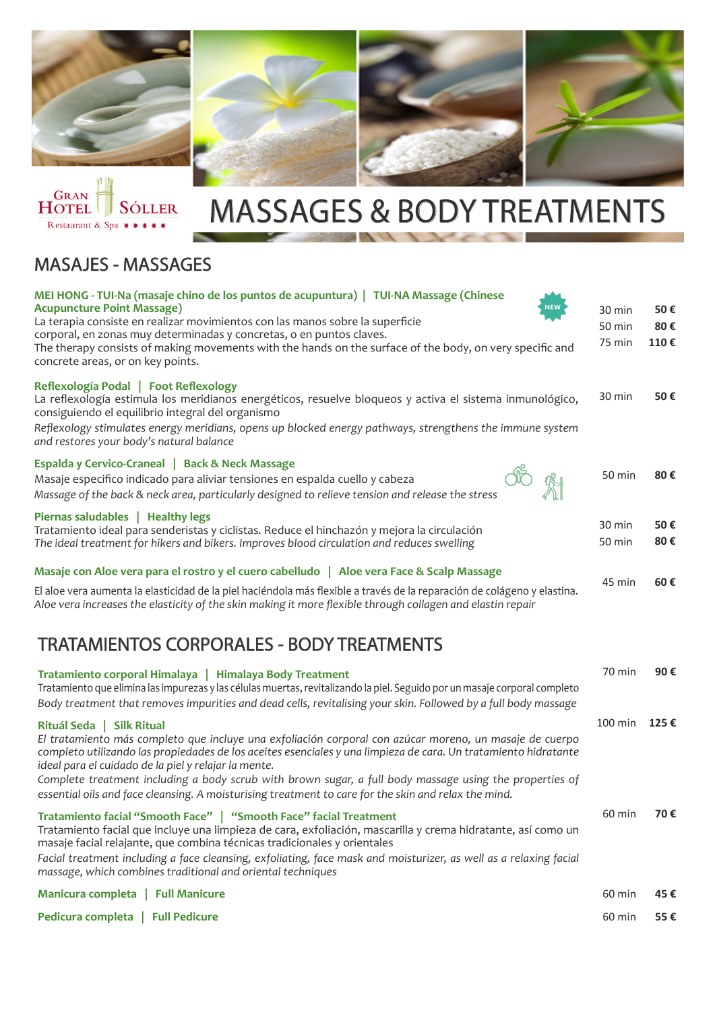



# MASSAGES & BODY TREATMENTS

#### MASAJES - MASSAGES

| MEI HONG - TUI-Na (masaje chino de los puntos de acupuntura)   TUI-NA Massage (Chinese<br><b>Acupuncture Point Massage)</b><br>La terapia consiste en realizar movimientos con las manos sobre la superficie<br>corporal, en zonas muy determinadas y concretas, o en puntos claves.<br>The therapy consists of making movements with the hands on the surface of the body, on very specific and<br>concrete areas, or on key points.                                                                                              | 30 min<br>50 min<br>75 min | 50€<br>80€<br>110€ |
|------------------------------------------------------------------------------------------------------------------------------------------------------------------------------------------------------------------------------------------------------------------------------------------------------------------------------------------------------------------------------------------------------------------------------------------------------------------------------------------------------------------------------------|----------------------------|--------------------|
| Reflexología Podal   Foot Reflexology<br>La reflexología estimula los meridianos energéticos, resuelve bloqueos y activa el sistema inmunológico,<br>consiguiendo el equilibrio integral del organismo<br>Reflexology stimulates energy meridians, opens up blocked energy pathways, strengthens the immune system<br>and restores your body's natural balance                                                                                                                                                                     | 30 min                     | 50€                |
| Espalda y Cervico-Craneal   Back & Neck Massage<br>Masaje especifico indicado para aliviar tensiones en espalda cuello y cabeza<br>Massage of the back & neck area, particularly designed to relieve tension and release the stress                                                                                                                                                                                                                                                                                                | 50 min                     | 80€                |
| Piernas saludables   Healthy legs<br>Tratamiento ideal para senderistas y ciclistas. Reduce el hinchazón y mejora la circulación<br>The ideal treatment for hikers and bikers. Improves blood circulation and reduces swelling                                                                                                                                                                                                                                                                                                     | 30 min<br>50 min           | 50€<br>80€         |
| Masaje con Aloe vera para el rostro y el cuero cabelludo   Aloe vera Face & Scalp Massage                                                                                                                                                                                                                                                                                                                                                                                                                                          |                            |                    |
| El aloe vera aumenta la elasticidad de la piel haciéndola más flexible a través de la reparación de colágeno y elastina.<br>Aloe vera increases the elasticity of the skin making it more flexible through collagen and elastin repair                                                                                                                                                                                                                                                                                             | 45 min                     | 60€                |
| <b>TRATAMIENTOS CORPORALES - BODY TREATMENTS</b>                                                                                                                                                                                                                                                                                                                                                                                                                                                                                   |                            |                    |
| Tratamiento corporal Himalaya   Himalaya Body Treatment<br>Tratamiento que elimina las impurezas y las células muertas, revitalizando la piel. Seguido por un masaje corporal completo<br>Body treatment that removes impurities and dead cells, revitalising your skin. Followed by a full body massage                                                                                                                                                                                                                           | 70 min                     | 90€                |
| Rituál Seda   Silk Ritual<br>El tratamiento más completo que incluye una exfoliación corporal con azúcar moreno, un masaje de cuerpo<br>completo utilizando las propiedades de los aceites esenciales y una limpieza de cara. Un tratamiento hidratante<br>ideal para el cuidado de la piel y relajar la mente.<br>Complete treatment including a body scrub with brown sugar, a full body massage using the properties of<br>essential oils and face cleansing. A moisturising treatment to care for the skin and relax the mind. | 100 min                    | 125€               |
| Tratamiento facial "Smooth Face"   "Smooth Face" facial Treatment<br>Tratamiento facial que incluye una limpieza de cara, exfoliación, mascarilla y crema hidratante, así como un<br>masaje facial relajante, que combina técnicas tradicionales y orientales<br>Facial treatment including a face cleansing, exfoliating, face mask and moisturizer, as well as a relaxing facial<br>massage, which combines traditional and oriental techniques                                                                                  | 60 min                     | 70€                |
| Manicura completa   Full Manicure                                                                                                                                                                                                                                                                                                                                                                                                                                                                                                  | 60 min                     | 45€                |
| Pedicura completa   Full Pedicure                                                                                                                                                                                                                                                                                                                                                                                                                                                                                                  | 60 min                     | 55€                |